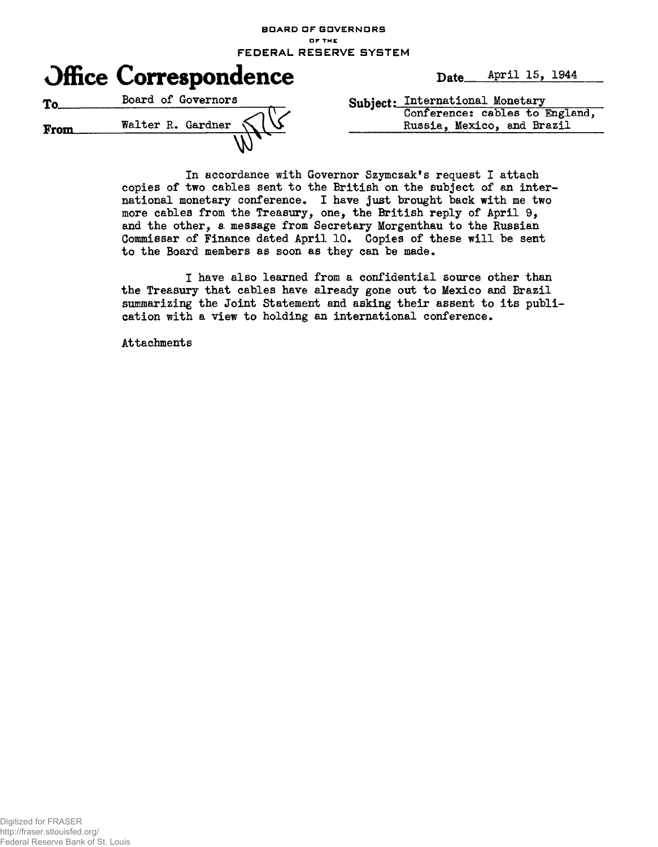**BOARD OF GOVERNORS or THE FEDERAL RESERVE SYSTEM**



In accordance with Governor Szymczak's request I attach copies of two cables sent to the British on the subject of an international monetary conference. I have just brought back with me two more cables from the Treasury, one, the British reply of April 9, and the other, a message from Secretary Morgenthau to the Russian Commissar of Finance dated April 10. Copies of these will be sent to the Board members as soon as they can be made,

I have also learned from a confidential source other than the Treasury that cables have already gone out to Mexico and Brazil summarizing the Joint Statement and asking their assent to its publication with a view to holding an international conference.

Attachments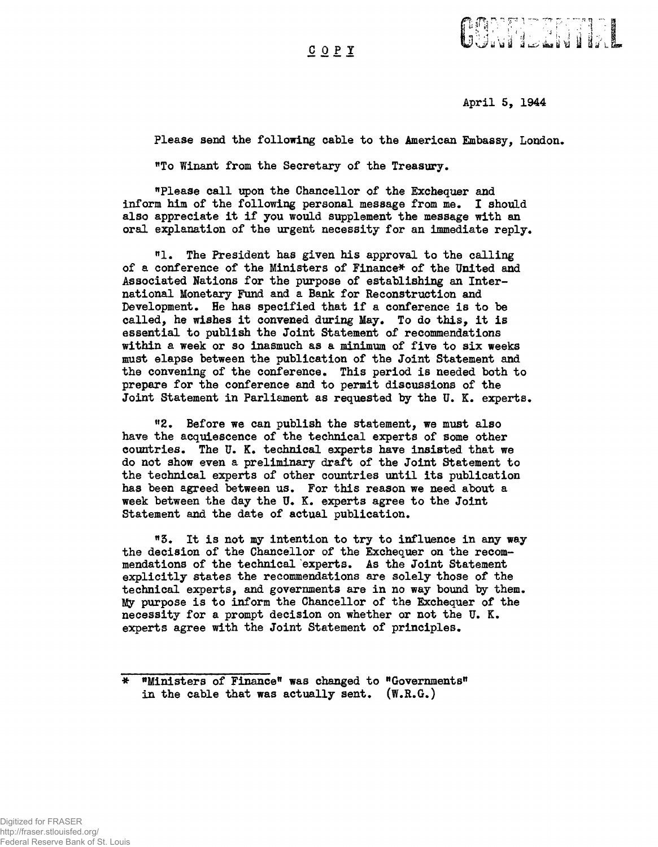COP Y



April 5, 1944

Please send the following cable to the American Embassy, London.

"To Winant from the Secretary of the Treasury.

"Please call upon the Chancellor of the Exchequer and inform him of the following personal message from me. I should also appreciate it if you would supplement the message with an oral explanation of the urgent necessity for an immediate reply.

"1. The President has given his approval to the calling of a conference of the Ministers of Finance\* of the United and Associated Nations for the purpose of establishing an International Monetary Fund and a Bank for Reconstruction and Development. He has specified that if a conference is to be called, he wishes it convened during May. To do this, it is essential to publish the Joint Statement of recommendations within a week or so inasmuch as a minimum of five to six weeks must elapse between the publication of the Joint Statement and the convening of the conference. This period is needed both to prepare for the conference and to permit discussions of the Joint Statement in Parliament as requested by the U.K. experts.

"2. Before we can publish the statement, we must also have the acquiescence of the technical experts of some other countries. The U. K. technical experts have insisted that we do not show even a preliminary draft of the Joint Statement to the technical experts of other countries until its publication has been agreed between us. For this reason we need about a week between the day the U. K. experts agree to the Joint Statement and the date of actual publication.

"3. It is not my intention to try to influence in any way the decision of the Chancellor of the Exchequer on the recommendations of the technical experts. As the Joint Statement explicitly states the recommendations are solely those of the technical experts, and governments are in no way bound by them. My purpose is to inform the Chancellor of the Exchequer of the necessity for a prompt decision on whether or not the  $U^*$ . K. experts agree with the Joint Statement of principles.

<sup>\* &</sup>quot;Ministers of Finance" was changed to "Governments" in the cable that was actually sent.  $(W,R,G_*)$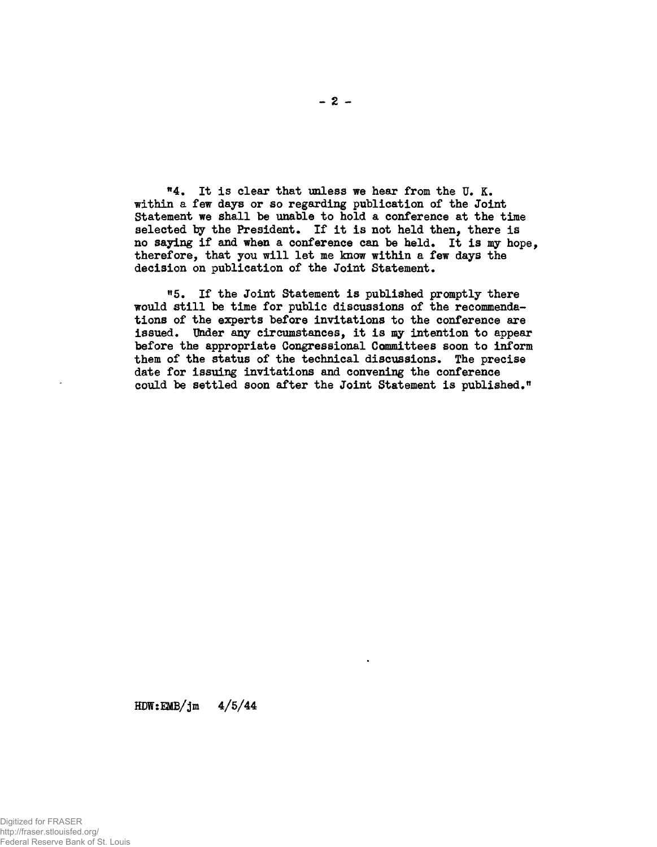M . It is clear that unless we hear from the U. K. within a few days or so regarding publication of the Joint Statement we shall be unable to hold a conference at the time selected by the President. If it is not held then, there is no saying if and when a conference can be held. It is my hope, therefore, that you will let me know within a few days the decision on publication of the Joint Statement.

"5. If the Joint Statement is published promptly there would still be time for public discussions of the recommendations of the experts before invitations to the conference are issued. Under any circumstances, it is my intention to appear before the appropriate Congressional Committees soon to inform them of the status of the technical discussions. The precise date for issuing invitations and convening the conference could be settled soon after the Joint Statement is published."

 $HDW: EMB/jm \t 4/5/44$ 

 $-2-$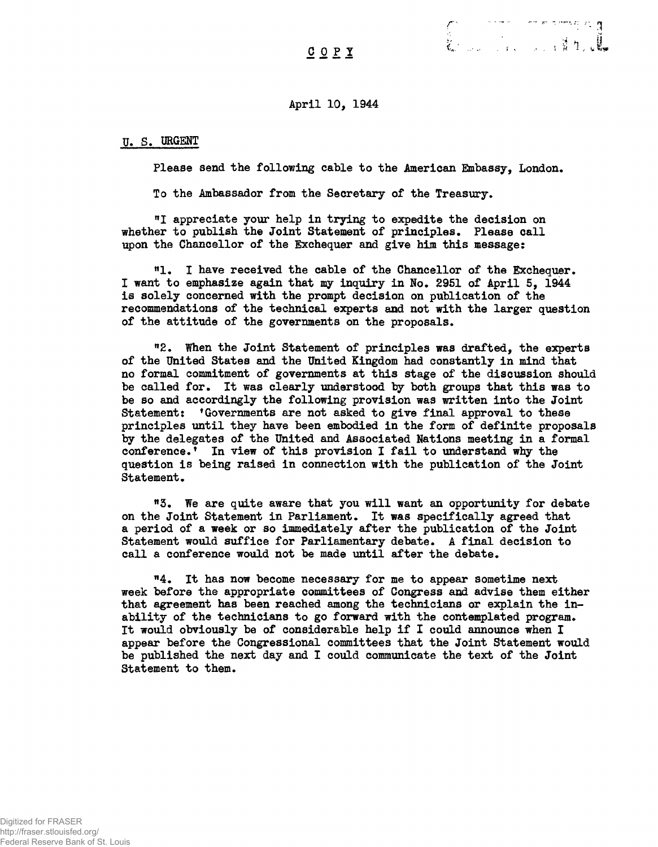April 10, 1944

## U» S. URGENT

Please send the following cable to the American Embassy, London.

*r ••'""-* **— —**

To the Ambassador from the Secretary of the Treasury.

"I appreciate your help in trying to expedite the decision on whether to publish the Joint Statement of principles. Please call upon the Chancellor of the Exchequer and give him this message:

<sup>n</sup>!• I have received the cable of the Chancellor of the Exchequer. I want to emphasize again that my inquiry in Ho. 2951 of April 5, 1944 is solely concerned with the prompt decision on publication of the recommendations of the technical experts and not with the larger question of the attitude of the governments on the proposals.

"2. When the Joint Statement of principles was drafted, the experts of the United States and the United Kingdom had constantly in mind that no formal commitment of governments at this stage of the discussion should be called for. It was clearly under stood by both groups that this was to be so and accordingly the following provision was written into the Joint Statement: 'Governments are not asked to give final approval to these principles until they have been embodied in the form of definite proposals by the delegates of the United and Associated Nations meeting in a formal conference.' In view of this provision I fail to understand why the question is being raised in connection with the publication of the Joint Statement.

"3. We are quite aware that you will want an opportunity for debate on the Joint Statement in Parliament. It was specifically agreed that a period of a week or so immediately after the publication of the Joint Statement would suffice for Parliamentary debate. A final decision to call a conference would not be made until after the debate.

" 4. It has now become necessary for me to appear sometime next week before the appropriate committees of Congress and advise them either that agreement has been reached among the technicians or explain the inability of the technicians to go forward with the contemplated program. It would obviously be of considerable help if I could announce when I appear before the Congressional committees that the Joint Statement would be published the next day and I could communicate the tert of the Joint Statement to them.